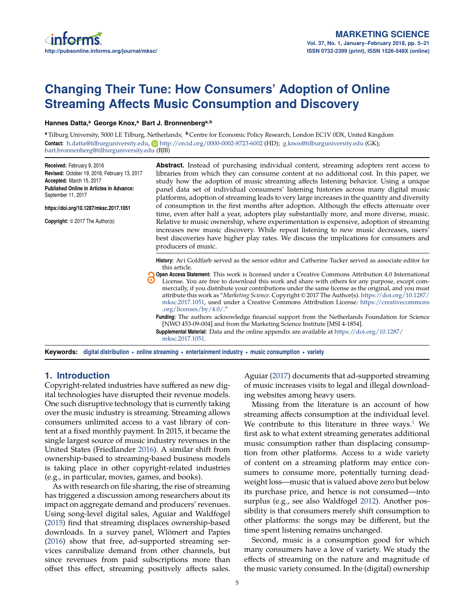# **Changing Their Tune: How Consumers' Adoption of Online Streaming Affects Music Consumption and Discovery**

### **Hannes Datta,<sup>a</sup> George Knox,<sup>a</sup> Bart J. Bronnenberga, b**

**<sup>a</sup>** Tilburg University, 5000 LE Tilburg, Netherlands; **<sup>b</sup>** Centre for Economic Policy Research, London EC1V 0DX, United Kingdom Contact: h.datta@tilburguniversity.edu, **b** http://orcid.org/0000-0002-8723-6002 (HD); g.knox@tilburguniversity.edu (GK); bart.bronnenberg@tilburguniversity.edu (BJB)

| Received: February 9, 2016                                            | Abstract. Instead of purchasing individual content, streaming adopters rent access to                                                                                                                                                                                                                                                                                                                                                                                                                                                              |
|-----------------------------------------------------------------------|----------------------------------------------------------------------------------------------------------------------------------------------------------------------------------------------------------------------------------------------------------------------------------------------------------------------------------------------------------------------------------------------------------------------------------------------------------------------------------------------------------------------------------------------------|
| Revised: October 19, 2016; February 13, 2017                          | libraries from which they can consume content at no additional cost. In this paper, we                                                                                                                                                                                                                                                                                                                                                                                                                                                             |
| Accepted: March 15, 2017                                              | study how the adoption of music streaming affects listening behavior. Using a unique                                                                                                                                                                                                                                                                                                                                                                                                                                                               |
| <b>Published Online in Articles in Advance:</b><br>September 11, 2017 | panel data set of individual consumers' listening histories across many digital music<br>platforms, adoption of streaming leads to very large increases in the quantity and diversity                                                                                                                                                                                                                                                                                                                                                              |
| https://doi.org/10.1287/mksc.2017.1051                                | of consumption in the first months after adoption. Although the effects attenuate over<br>time, even after half a year, adopters play substantially more, and more diverse, music.                                                                                                                                                                                                                                                                                                                                                                 |
| <b>Copyright: © 2017 The Author(s)</b>                                | Relative to music ownership, where experimentation is expensive, adoption of streaming<br>increases new music discovery. While repeat listening to new music decreases, users'<br>best discoveries have higher play rates. We discuss the implications for consumers and<br>producers of music.                                                                                                                                                                                                                                                    |
|                                                                       | History: Avi Goldfarb served as the senior editor and Catherine Tucker served as associate editor for<br>this article.                                                                                                                                                                                                                                                                                                                                                                                                                             |
|                                                                       | Open Access Statement: This work is licensed under a Creative Commons Attribution 4.0 International<br>O<br>License. You are free to download this work and share with others for any purpose, except com-<br>mercially, if you distribute your contributions under the same license as the original, and you must<br>attribute this work as "Marketing Science. Copyright @ 2017 The Author(s). https://doi.org/10.1287/<br>mksc.2017.1051, used under a Creative Commons Attribution License: https://creativecommons<br>.org/licenses/by/4.0/." |
|                                                                       | Funding: The authors acknowledge financial support from the Netherlands Foundation for Science<br>[NWO 453-09-004] and from the Marketing Science Institute [MSI 4-1854].                                                                                                                                                                                                                                                                                                                                                                          |
|                                                                       | <b>Supplemental Material:</b> Data and the online appendix are available at https://doi.org/10.1287/<br>mksc.2017.1051.                                                                                                                                                                                                                                                                                                                                                                                                                            |

**Keywords: digital distribution • online streaming • entertainment industry • music consumption • variety**

## **1. Introduction**

Copyright-related industries have suffered as new digital technologies have disrupted their revenue models. One such disruptive technology that is currently taking over the music industry is streaming. Streaming allows consumers unlimited access to a vast library of content at a fixed monthly payment. In 2015, it became the single largest source of music industry revenues in the United States (Friedlander 2016). A similar shift from ownership-based to streaming-based business models is taking place in other copyright-related industries (e.g., in particular, movies, games, and books).

As with research on file sharing, the rise of streaming has triggered a discussion among researchers about its impact on aggregate demand and producers' revenues. Using song-level digital sales, Aguiar and Waldfogel (2015) find that streaming displaces ownership-based downloads. In a survey panel, Wlömert and Papies (2016) show that free, ad-supported streaming services cannibalize demand from other channels, but since revenues from paid subscriptions more than offset this effect, streaming positively affects sales.

Aguiar (2017) documents that ad-supported streaming of music increases visits to legal and illegal downloading websites among heavy users.

<span id="page-0-0"></span>Missing from the literature is an account of how streaming affects consumption at the individual level. We contribute to this literature in three ways.<sup>1</sup> We first ask to what extent streaming generates additional music consumption rather than displacing consumption from other platforms. Access to a wide variety of content on a streaming platform may entice consumers to consume more, potentially turning deadweight loss—music that is valued above zero but below its purchase price, and hence is not consumed—into surplus (e.g., see also Waldfogel 2012). Another possibility is that consumers merely shift consumption to other platforms: the songs may be different, but the time spent listening remains unchanged.

Second, music is a consumption good for which many consumers have a love of variety. We study the effects of streaming on the nature and magnitude of the music variety consumed. In the (digital) ownership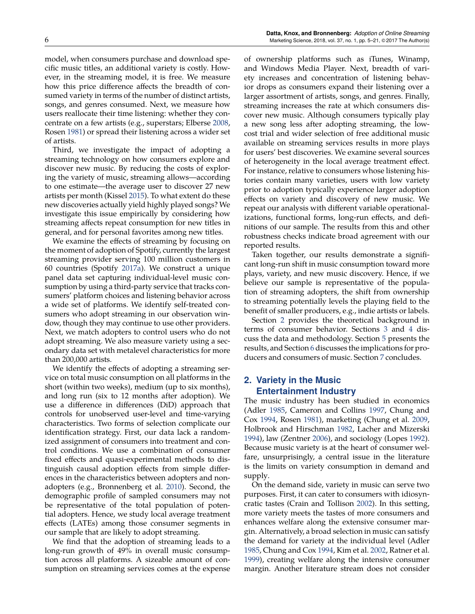model, when consumers purchase and download specific music titles, an additional variety is costly. However, in the streaming model, it is free. We measure how this price difference affects the breadth of consumed variety in terms of the number of distinct artists, songs, and genres consumed. Next, we measure how users reallocate their time listening: whether they concentrate on a few artists (e.g., superstars; Elberse 2008, Rosen 1981) or spread their listening across a wider set of artists.

Third, we investigate the impact of adopting a streaming technology on how consumers explore and discover new music. By reducing the costs of exploring the variety of music, streaming allows—according to one estimate—the average user to discover 27 new artists per month (Kissel 2015). To what extent do these new discoveries actually yield highly played songs? We investigate this issue empirically by considering how streaming affects repeat consumption for new titles in general, and for personal favorites among new titles.

We examine the effects of streaming by focusing on the moment of adoption of Spotify, currently the largest streaming provider serving 100 million customers in 60 countries (Spotify 2017a). We construct a unique panel data set capturing individual-level music consumption by using a third-party service that tracks consumers' platform choices and listening behavior across a wide set of platforms. We identify self-treated consumers who adopt streaming in our observation window, though they may continue to use other providers. Next, we match adopters to control users who do not adopt streaming. We also measure variety using a secondary data set with metalevel characteristics for more than 200,000 artists.

We identify the effects of adopting a streaming service on total music consumption on all platforms in the short (within two weeks), medium (up to six months), and long run (six to 12 months after adoption). We use a difference in differences (DiD) approach that controls for unobserved user-level and time-varying characteristics. Two forms of selection complicate our identification strategy. First, our data lack a randomized assignment of consumers into treatment and control conditions. We use a combination of consumer fixed effects and quasi-experimental methods to distinguish causal adoption effects from simple differences in the characteristics between adopters and nonadopters (e.g., Bronnenberg et al. 2010). Second, the demographic profile of sampled consumers may not be representative of the total population of potential adopters. Hence, we study local average treatment effects (LATEs) among those consumer segments in our sample that are likely to adopt streaming.

We find that the adoption of streaming leads to a long-run growth of 49% in overall music consumption across all platforms. A sizeable amount of consumption on streaming services comes at the expense of ownership platforms such as iTunes, Winamp, and Windows Media Player. Next, breadth of variety increases and concentration of listening behavior drops as consumers expand their listening over a larger assortment of artists, songs, and genres. Finally, streaming increases the rate at which consumers discover new music. Although consumers typically play a new song less after adopting streaming, the lowcost trial and wider selection of free additional music available on streaming services results in more plays for users' best discoveries. We examine several sources of heterogeneity in the local average treatment effect. For instance, relative to consumers whose listening histories contain many varieties, users with low variety prior to adoption typically experience larger adoption effects on variety and discovery of new music. We repeat our analysis with different variable operationalizations, functional forms, long-run effects, and definitions of our sample. The results from this and other robustness checks indicate broad agreement with our reported results.

Taken together, our results demonstrate a significant long-run shift in music consumption toward more plays, variety, and new music discovery. Hence, if we believe our sample is representative of the population of streaming adopters, the shift from ownership to streaming potentially levels the playing field to the benefit of smaller producers, e.g., indie artists or labels.

Section 2 provides the theoretical background in terms of consumer behavior. Sections 3 and 4 discuss the data and methodology. Section 5 presents the results, and Section 6 discusses the implications for producers and consumers of music. Section 7 concludes.

# <span id="page-1-0"></span>**2. Variety in the Music Entertainment Industry**

The music industry has been studied in economics (Adler 1985, Cameron and Collins 1997, Chung and Cox 1994, Rosen 1981), marketing (Chung et al. 2009, Holbrook and Hirschman 1982, Lacher and Mizerski 1994), law (Zentner 2006), and sociology (Lopes 1992). Because music variety is at the heart of consumer welfare, unsurprisingly, a central issue in the literature is the limits on variety consumption in demand and supply.

On the demand side, variety in music can serve two purposes. First, it can cater to consumers with idiosyncratic tastes (Crain and Tollison 2002). In this setting, more variety meets the tastes of more consumers and enhances welfare along the extensive consumer margin. Alternatively, a broad selection in music can satisfy the demand for variety at the individual level (Adler 1985, Chung and Cox 1994, Kim et al. 2002, Ratner et al. 1999), creating welfare along the intensive consumer margin. Another literature stream does not consider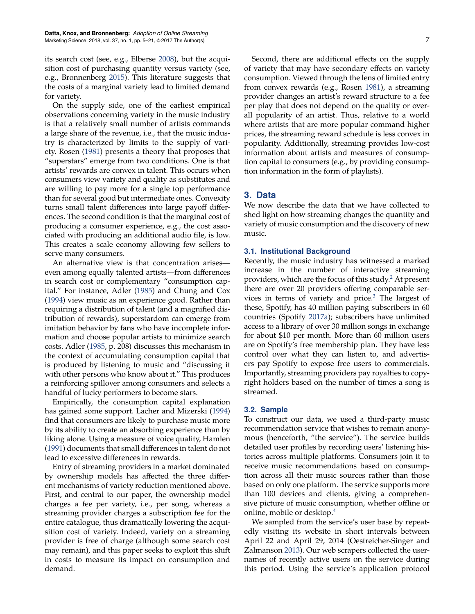its search cost (see, e.g., Elberse 2008), but the acquisition cost of purchasing quantity versus variety (see, e.g., Bronnenberg 2015). This literature suggests that the costs of a marginal variety lead to limited demand for variety.

On the supply side, one of the earliest empirical observations concerning variety in the music industry is that a relatively small number of artists commands a large share of the revenue, i.e., that the music industry is characterized by limits to the supply of variety. Rosen (1981) presents a theory that proposes that "superstars" emerge from two conditions. One is that artists' rewards are convex in talent. This occurs when consumers view variety and quality as substitutes and are willing to pay more for a single top performance than for several good but intermediate ones. Convexity turns small talent differences into large payoff differences. The second condition is that the marginal cost of producing a consumer experience, e.g., the cost associated with producing an additional audio file, is low. This creates a scale economy allowing few sellers to serve many consumers.

An alternative view is that concentration arises even among equally talented artists—from differences in search cost or complementary "consumption capital." For instance, Adler (1985) and Chung and Cox (1994) view music as an experience good. Rather than requiring a distribution of talent (and a magnified distribution of rewards), superstardom can emerge from imitation behavior by fans who have incomplete information and choose popular artists to minimize search costs. Adler (1985, p. 208) discusses this mechanism in the context of accumulating consumption capital that is produced by listening to music and "discussing it with other persons who know about it." This produces a reinforcing spillover among consumers and selects a handful of lucky performers to become stars.

Empirically, the consumption capital explanation has gained some support. Lacher and Mizerski (1994) find that consumers are likely to purchase music more by its ability to create an absorbing experience than by liking alone. Using a measure of voice quality, Hamlen (1991) documents that small differences in talent do not lead to excessive differences in rewards.

Entry of streaming providers in a market dominated by ownership models has affected the three different mechanisms of variety reduction mentioned above. First, and central to our paper, the ownership model charges a fee per variety, i.e., per song, whereas a streaming provider charges a subscription fee for the entire catalogue, thus dramatically lowering the acquisition cost of variety. Indeed, variety on a streaming provider is free of charge (although some search cost may remain), and this paper seeks to exploit this shift in costs to measure its impact on consumption and demand.

Second, there are additional effects on the supply of variety that may have secondary effects on variety consumption. Viewed through the lens of limited entry from convex rewards (e.g., Rosen 1981), a streaming provider changes an artist's reward structure to a fee per play that does not depend on the quality or overall popularity of an artist. Thus, relative to a world where artists that are more popular command higher prices, the streaming reward schedule is less convex in popularity. Additionally, streaming provides low-cost information about artists and measures of consumption capital to consumers (e.g., by providing consumption information in the form of playlists).

## **3. Data**

We now describe the data that we have collected to shed light on how streaming changes the quantity and variety of music consumption and the discovery of new music.

## **3.1. Institutional Background**

<span id="page-2-1"></span><span id="page-2-0"></span>Recently, the music industry has witnessed a marked increase in the number of interactive streaming providers, which are the focus of this study.<sup>2</sup> At present there are over 20 providers offering comparable services in terms of variety and price. $3$  The largest of these, Spotify, has 40 million paying subscribers in 60 countries (Spotify 2017a); subscribers have unlimited access to a library of over 30 million songs in exchange for about \$10 per month. More than 60 million users are on Spotify's free membership plan. They have less control over what they can listen to, and advertisers pay Spotify to expose free users to commercials. Importantly, streaming providers pay royalties to copyright holders based on the number of times a song is streamed.

## <span id="page-2-3"></span>**3.2. Sample**

To construct our data, we used a third-party music recommendation service that wishes to remain anonymous (henceforth, "the service"). The service builds detailed user profiles by recording users' listening histories across multiple platforms. Consumers join it to receive music recommendations based on consumption across all their music sources rather than those based on only one platform. The service supports more than 100 devices and clients, giving a comprehensive picture of music consumption, whether offline or online, mobile or desktop.<sup>4</sup>

<span id="page-2-2"></span>We sampled from the service's user base by repeatedly visiting its website in short intervals between April 22 and April 29, 2014 (Oestreicher-Singer and Zalmanson 2013). Our web scrapers collected the usernames of recently active users on the service during this period. Using the service's application protocol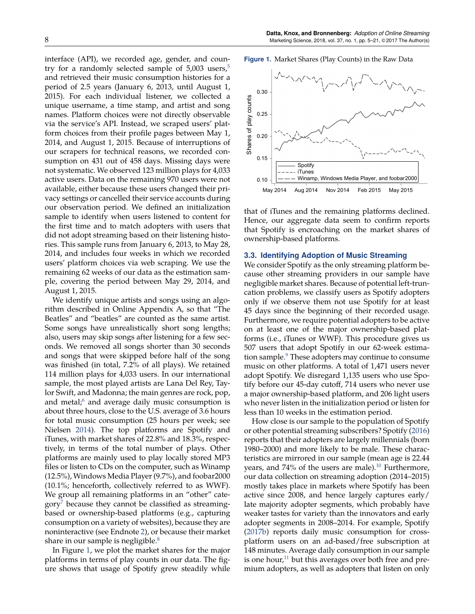interface (API), we recorded age, gender, and country for a randomly selected sample of  $5,003$  $5,003$  users,<sup>5</sup> and retrieved their music consumption histories for a period of 2.5 years (January 6, 2013, until August 1, 2015). For each individual listener, we collected a unique username, a time stamp, and artist and song names. Platform choices were not directly observable via the service's API. Instead, we scraped users' platform choices from their profile pages between May 1, 2014, and August 1, 2015. Because of interruptions of our scrapers for technical reasons, we recorded consumption on 431 out of 458 days. Missing days were not systematic. We observed 123 million plays for 4,033 active users. Data on the remaining 970 users were not available, either because these users changed their privacy settings or cancelled their service accounts during our observation period. We defined an initialization sample to identify when users listened to content for the first time and to match adopters with users that did not adopt streaming based on their listening histories. This sample runs from January 6, 2013, to May 28, 2014, and includes four weeks in which we recorded users' platform choices via web scraping. We use the remaining 62 weeks of our data as the estimation sample, covering the period between May 29, 2014, and August 1, 2015.

<span id="page-3-2"></span>We identify unique artists and songs using an algorithm described in Online Appendix A, so that "The Beatles" and "beatles" are counted as the same artist. Some songs have unrealistically short song lengths; also, users may skip songs after listening for a few seconds. We removed all songs shorter than 30 seconds and songs that were skipped before half of the song was finished (in total, 7.2% of all plays). We retained 114 million plays for 4,033 users. In our international sample, the most played artists are Lana Del Rey, Taylor Swift, and Madonna; the main genres are rock, pop, and metal;<sup>[6](#page-15-1)</sup> and average daily music consumption is about three hours, close to the U.S. average of 3.6 hours for total music consumption (25 hours per week; see Nielsen [2014\)](#page-16-0). The top platforms are Spotify and iTunes, with market shares of 22.8% and 18.3%, respectively, in terms of the total number of plays. Other platforms are mainly used to play locally stored MP3 files or listen to CDs on the computer, such as Winamp (12.5%), Windows Media Player (9.7%), and foobar2000 (10.1%; henceforth, collectively referred to as WWF). We group all remaining platforms in an "other" cate- $gory<sup>7</sup>$  $gory<sup>7</sup>$  $gory<sup>7</sup>$  because they cannot be classified as streamingbased or ownership-based platforms (e.g., capturing consumption on a variety of websites), because they are noninteractive (see Endnote [2\)](#page-15-3), or because their market share in our sample is negligible.<sup>[8](#page-15-4)</sup>

<span id="page-3-4"></span><span id="page-3-3"></span>In Figure [1,](#page-3-0) we plot the market shares for the major platforms in terms of play counts in our data. The figure shows that usage of Spotify grew steadily while <span id="page-3-0"></span>**Figure 1.** Market Shares (Play Counts) in the Raw Data

<span id="page-3-1"></span>

that of iTunes and the remaining platforms declined. Hence, our aggregate data seem to confirm reports that Spotify is encroaching on the market shares of ownership-based platforms.

#### **3.3. Identifying Adoption of Music Streaming**

We consider Spotify as the only streaming platform because other streaming providers in our sample have negligible market shares. Because of potential left-truncation problems, we classify users as Spotify adopters only if we observe them not use Spotify for at least 45 days since the beginning of their recorded usage. Furthermore, we require potential adopters to be active on at least one of the major ownership-based platforms (i.e., iTunes or WWF). This procedure gives us 507 users that adopt Spotify in our 62-week estima-tion sample.<sup>[9](#page-15-5)</sup> These adopters may continue to consume music on other platforms. A total of 1,471 users never adopt Spotify. We disregard 1,135 users who use Spotify before our 45-day cutoff, 714 users who never use a major ownership-based platform, and 206 light users who never listen in the initialization period or listen for less than 10 weeks in the estimation period.

<span id="page-3-7"></span><span id="page-3-6"></span><span id="page-3-5"></span>How close is our sample to the population of Spotify or other potential streaming subscribers? Spotify [\(2016\)](#page-16-1) reports that their adopters are largely millennials (born 1980–2000) and more likely to be male. These characteristics are mirrored in our sample (mean age is 22.44 years, and 74% of the users are male). $^{10}$  $^{10}$  $^{10}$  Furthermore, our data collection on streaming adoption (2014–2015) mostly takes place in markets where Spotify has been active since 2008, and hence largely captures early/ late majority adopter segments, which probably have weaker tastes for variety than the innovators and early adopter segments in 2008–2014. For example, Spotify [\(2017b\)](#page-16-2) reports daily music consumption for crossplatform users on an ad-based/free subscription at 148 minutes. Average daily consumption in our sample is one hour, $11$  but this averages over both free and premium adopters, as well as adopters that listen on only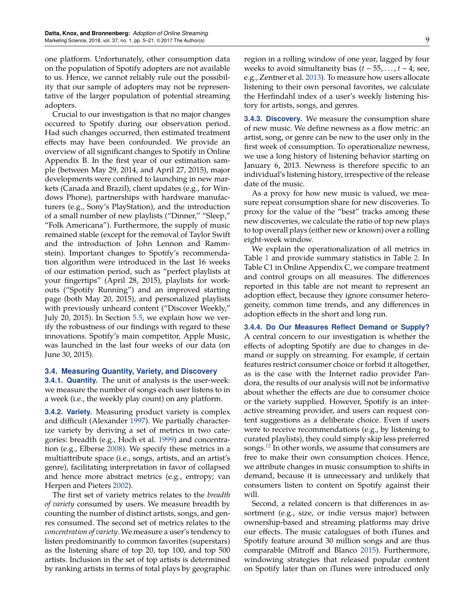one platform. Unfortunately, other consumption data on the population of Spotify adopters are not available to us. Hence, we cannot reliably rule out the possibility that our sample of adopters may not be representative of the larger population of potential streaming adopters.

Crucial to our investigation is that no major changes occurred to Spotify during our observation period. Had such changes occurred, then estimated treatment effects may have been confounded. We provide an overview of all significant changes to Spotify in Online Appendix B. In the first year of our estimation sample (between May 29, 2014, and April 27, 2015), major developments were confined to launching in new markets (Canada and Brazil), client updates (e.g., for Windows Phone), partnerships with hardware manufacturers (e.g., Sony's PlayStation), and the introduction of a small number of new playlists ("Dinner," "Sleep," "Folk Americana"). Furthermore, the supply of music remained stable (except for the removal of Taylor Swift and the introduction of John Lennon and Rammstein). Important changes to Spotify's recommendation algorithm were introduced in the last 16 weeks of our estimation period, such as "perfect playlists at your fingertips" (April 28, 2015), playlists for workouts ("Spotify Running") and an improved starting page (both May 20, 2015), and personalized playlists with previously unheard content ("Discover Weekly," July 20, 2015). In Section [5.5,](#page-13-0) we explain how we verify the robustness of our findings with regard to these innovations. Spotify's main competitor, Apple Music, was launched in the last four weeks of our data (on June 30, 2015).

#### **3.4. Measuring Quantity, Variety, and Discovery**

**3.4.1. Quantity.** The unit of analysis is the user-week: we measure the number of songs each user listens to in a week (i.e., the weekly play count) on any platform.

**3.4.2. Variety.** Measuring product variety is complex and difficult (Alexander [1997\)](#page-16-3). We partially characterize variety by deriving a set of metrics in two categories: breadth (e.g., Hoch et al. [1999\)](#page-16-4) and concentration (e.g., Elberse [2008\)](#page-16-5). We specify these metrics in a multiattribute space (i.e., songs, artists, and an artist's genre), facilitating interpretation in favor of collapsed and hence more abstract metrics (e.g., entropy; van Herpen and Pieters [2002\)](#page-16-6).

The first set of variety metrics relates to the *breadth of variety* consumed by users. We measure breadth by counting the number of distinct artists, songs, and genres consumed. The second set of metrics relates to the *concentration of variety*. We measure a user's tendency to listen predominantly to common favorites (superstars) as the listening share of top 20, top 100, and top 500 artists. Inclusion in the set of top artists is determined by ranking artists in terms of total plays by geographic region in a rolling window of one year, lagged by four weeks to avoid simultaneity bias (*t* − 55, . . . , *t* − 4; see, e.g., Zentner et al. [2013\)](#page-16-7). To measure how users allocate listening to their own personal favorites, we calculate the Herfindahl index of a user's weekly listening history for artists, songs, and genres.

**3.4.3. Discovery.** We measure the consumption share of new music. We define newness as a flow metric: an artist, song, or genre can be new to the user only in the first week of consumption. To operationalize newness, we use a long history of listening behavior starting on January 6, 2013. Newness is therefore specific to an individual's listening history, irrespective of the release date of the music.

As a proxy for how new music is valued, we measure repeat consumption share for new discoveries. To proxy for the value of the "best" tracks among these new discoveries, we calculate the ratio of top new plays to top overall plays (either new or known) over a rolling eight-week window.

We explain the operationalization of all metrics in Table [1](#page-5-0) and provide summary statistics in Table [2.](#page-6-0) In Table C1 in Online Appendix C, we compare treatment and control groups on all measures. The differences reported in this table are not meant to represent an adoption effect, because they ignore consumer heterogeneity, common time trends, and any differences in adoption effects in the short and long run.

**3.4.4. Do Our Measures Reflect Demand or Supply?** A central concern to our investigation is whether the effects of adopting Spotify are due to changes in demand or supply on streaming. For example, if certain features restrict consumer choice or forbid it altogether, as is the case with the Internet radio provider Pandora, the results of our analysis will not be informative about whether the effects are due to consumer choice or the variety supplied. However, Spotify is an interactive streaming provider, and users can request content suggestions as a deliberate choice. Even if users were to receive recommendations (e.g., by listening to curated playlists), they could simply skip less preferred songs.<sup>[12](#page-15-8)</sup> In other words, we assume that consumers are free to make their own consumption choices. Hence, we attribute changes in music consumption to shifts in demand, because it is unnecessary and unlikely that consumers listen to content on Spotify against their will.

<span id="page-4-0"></span>Second, a related concern is that differences in assortment (e.g., size, or indie versus major) between ownership-based and streaming platforms may drive our effects. The music catalogues of both iTunes and Spotify feature around 30 million songs and are thus comparable (Mitroff and Blanco [2015\)](#page-16-8). Furthermore, windowing strategies that released popular content on Spotify later than on iTunes were introduced only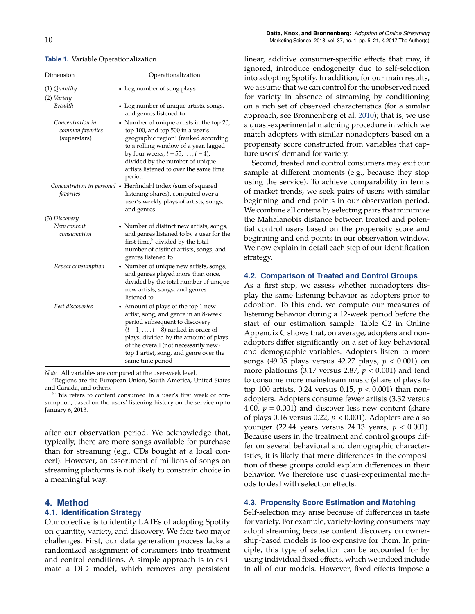| Dimension                                            | Operationalization                                                                                                                                                                                                                                                                                          |
|------------------------------------------------------|-------------------------------------------------------------------------------------------------------------------------------------------------------------------------------------------------------------------------------------------------------------------------------------------------------------|
| $(1)$ Quantity                                       | • Log number of song plays                                                                                                                                                                                                                                                                                  |
| (2) Variety                                          |                                                                                                                                                                                                                                                                                                             |
| <b>Breadth</b>                                       | • Log number of unique artists, songs,<br>and genres listened to                                                                                                                                                                                                                                            |
| Concentration in<br>common favorites<br>(superstars) | • Number of unique artists in the top 20,<br>top 100, and top 500 in a user's<br>geographic region <sup>a</sup> (ranked according<br>to a rolling window of a year, lagged<br>by four weeks; $t - 55$ , , $t - 4$ ),<br>divided by the number of unique<br>artists listened to over the same time<br>period |
| favorites                                            | Concentration in personal • Herfindahl index (sum of squared<br>listening shares), computed over a<br>user's weekly plays of artists, songs,<br>and genres                                                                                                                                                  |
| (3) Discovery                                        |                                                                                                                                                                                                                                                                                                             |
| New content<br>consumption                           | • Number of distinct new artists, songs,<br>and genres listened to by a user for the<br>first time, <sup>b</sup> divided by the total<br>number of distinct artists, songs, and<br>genres listened to                                                                                                       |
| Repeat consumption                                   | • Number of unique new artists, songs,<br>and genres played more than once,<br>divided by the total number of unique<br>new artists, songs, and genres<br>listened to                                                                                                                                       |
| <b>Best discoveries</b>                              | • Amount of plays of the top 1 new<br>artist, song, and genre in an 8-week<br>period subsequent to discovery<br>$(t+1,\ldots,t+8)$ ranked in order of<br>plays, divided by the amount of plays<br>of the overall (not necessarily new)<br>top 1 artist, song, and genre over the<br>same time period        |

<span id="page-5-0"></span>

|  |  |  | Table 1. Variable Operationalization |
|--|--|--|--------------------------------------|
|--|--|--|--------------------------------------|

*Note.* All variables are computed at the user-week level.

<sup>a</sup>Regions are the European Union, South America, United States and Canada, and others.

bThis refers to content consumed in a user's first week of consumption, based on the users' listening history on the service up to January 6, 2013.

after our observation period. We acknowledge that, typically, there are more songs available for purchase than for streaming (e.g., CDs bought at a local concert). However, an assortment of millions of songs on streaming platforms is not likely to constrain choice in a meaningful way.

## **4. Method**

## **4.1. Identification Strategy**

Our objective is to identify LATEs of adopting Spotify on quantity, variety, and discovery. We face two major challenges. First, our data generation process lacks a randomized assignment of consumers into treatment and control conditions. A simple approach is to estimate a DiD model, which removes any persistent linear, additive consumer-specific effects that may, if ignored, introduce endogeneity due to self-selection into adopting Spotify. In addition, for our main results, we assume that we can control for the unobserved need for variety in absence of streaming by conditioning on a rich set of observed characteristics (for a similar approach, see Bronnenberg et al. [2010\)](#page-16-9); that is, we use a quasi-experimental matching procedure in which we match adopters with similar nonadopters based on a propensity score constructed from variables that capture users' demand for variety.

Second, treated and control consumers may exit our sample at different moments (e.g., because they stop using the service). To achieve comparability in terms of market trends, we seek pairs of users with similar beginning and end points in our observation period. We combine all criteria by selecting pairs that minimize the Mahalanobis distance between treated and potential control users based on the propensity score and beginning and end points in our observation window. We now explain in detail each step of our identification strategy.

## **4.2. Comparison of Treated and Control Groups**

As a first step, we assess whether nonadopters display the same listening behavior as adopters prior to adoption. To this end, we compute our measures of listening behavior during a 12-week period before the start of our estimation sample. Table C2 in Online Appendix C shows that, on average, adopters and nonadopters differ significantly on a set of key behavioral and demographic variables. Adopters listen to more songs (49.95 plays versus 42.27 plays, *p* < 0.001) on more platforms (3.17 versus 2.87, *p* < 0.001) and tend to consume more mainstream music (share of plays to top 100 artists, 0.24 versus 0.15, *p* < 0.001) than nonadopters. Adopters consume fewer artists (3.32 versus 4.00,  $p = 0.001$ ) and discover less new content (share of plays 0.16 versus 0.22, *p* < 0.001). Adopters are also younger (22.44 years versus 24.13 years, *p* < 0.001). Because users in the treatment and control groups differ on several behavioral and demographic characteristics, it is likely that mere differences in the composition of these groups could explain differences in their behavior. We therefore use quasi-experimental methods to deal with selection effects.

## **4.3. Propensity Score Estimation and Matching**

Self-selection may arise because of differences in taste for variety. For example, variety-loving consumers may adopt streaming because content discovery on ownership-based models is too expensive for them. In principle, this type of selection can be accounted for by using individual fixed effects, which we indeed include in all of our models. However, fixed effects impose a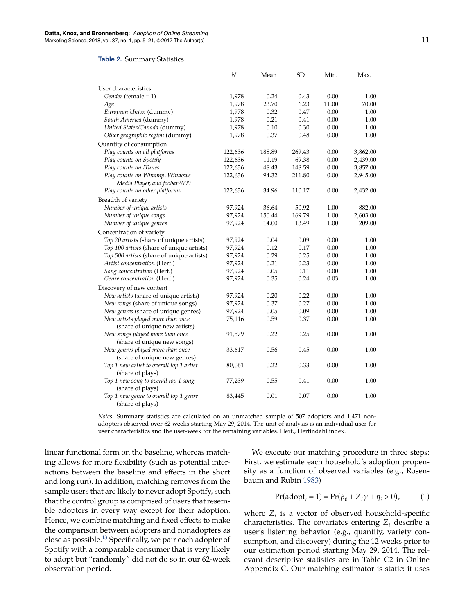#### <span id="page-6-0"></span>**Table 2.** Summary Statistics

|                                                            | $\cal N$ | Mean   | <b>SD</b> | Min.  | Max.     |
|------------------------------------------------------------|----------|--------|-----------|-------|----------|
| User characteristics                                       |          |        |           |       |          |
| Gender (female = $1$ )                                     | 1,978    | 0.24   | 0.43      | 0.00  | 1.00     |
| Age                                                        | 1,978    | 23.70  | 6.23      | 11.00 | 70.00    |
| European Union (dummy)                                     | 1,978    | 0.32   | 0.47      | 0.00  | 1.00     |
| South America (dummy)                                      | 1,978    | 0.21   | 0.41      | 0.00  | 1.00     |
| United States/Canada (dummy)                               | 1,978    | 0.10   | 0.30      | 0.00  | 1.00     |
| Other geographic region (dummy)                            | 1,978    | 0.37   | 0.48      | 0.00  | 1.00     |
| Quantity of consumption                                    |          |        |           |       |          |
| Play counts on all platforms                               | 122,636  | 188.89 | 269.43    | 0.00  | 3,862.00 |
| Play counts on Spotify                                     | 122,636  | 11.19  | 69.38     | 0.00  | 2,439.00 |
| Play counts on iTunes                                      | 122,636  | 48.43  | 148.59    | 0.00  | 3,857.00 |
| Play counts on Winamp, Windows                             | 122,636  | 94.32  | 211.80    | 0.00  | 2,945.00 |
| Media Player, and foobar2000                               |          |        |           |       |          |
| Play counts on other platforms                             | 122,636  | 34.96  | 110.17    | 0.00  | 2,432.00 |
| Breadth of variety                                         |          |        |           |       |          |
| Number of unique artists                                   | 97,924   | 36.64  | 50.92     | 1.00  | 882.00   |
| Number of unique songs                                     | 97,924   | 150.44 | 169.79    | 1.00  | 2,603.00 |
| Number of unique genres                                    | 97,924   | 14.00  | 13.49     | 1.00  | 209.00   |
| Concentration of variety                                   |          |        |           |       |          |
| Top 20 artists (share of unique artists)                   | 97,924   | 0.04   | 0.09      | 0.00  | 1.00     |
| Top 100 artists (share of unique artists)                  | 97,924   | 0.12   | 0.17      | 0.00  | 1.00     |
| Top 500 artists (share of unique artists)                  | 97,924   | 0.29   | 0.25      | 0.00  | 1.00     |
| Artist concentration (Herf.)                               | 97,924   | 0.21   | 0.23      | 0.00  | 1.00     |
| Song concentration (Herf.)                                 | 97,924   | 0.05   | 0.11      | 0.00  | 1.00     |
| Genre concentration (Herf.)                                | 97,924   | 0.35   | 0.24      | 0.03  | 1.00     |
| Discovery of new content                                   |          |        |           |       |          |
| New artists (share of unique artists)                      | 97,924   | 0.20   | 0.22      | 0.00  | 1.00     |
| New songs (share of unique songs)                          | 97,924   | 0.37   | 0.27      | 0.00  | 1.00     |
| New genres (share of unique genres)                        | 97,924   | 0.05   | 0.09      | 0.00  | 1.00     |
| New artists played more than once                          | 75,116   | 0.59   | 0.37      | 0.00  | 1.00     |
| (share of unique new artists)                              |          |        |           |       |          |
| New songs played more than once                            | 91,579   | 0.22   | 0.25      | 0.00  | 1.00     |
| (share of unique new songs)                                |          |        |           |       |          |
| New genres played more than once                           | 33,617   | 0.56   | 0.45      | 0.00  | 1.00     |
| (share of unique new genres)                               |          |        |           |       |          |
| Top 1 new artist to overall top 1 artist                   | 80,061   | 0.22   | 0.33      | 0.00  | 1.00     |
| (share of plays)                                           |          |        |           |       |          |
| Top 1 new song to overall top 1 song                       | 77,239   | 0.55   | 0.41      | 0.00  | 1.00     |
| (share of plays)                                           |          |        |           |       |          |
| Top 1 new genre to overall top 1 genre<br>(share of plays) | 83,445   | 0.01   | 0.07      | 0.00  | 1.00     |

*Notes.* Summary statistics are calculated on an unmatched sample of 507 adopters and 1,471 nonadopters observed over 62 weeks starting May 29, 2014. The unit of analysis is an individual user for user characteristics and the user-week for the remaining variables. Herf., Herfindahl index.

<span id="page-6-2"></span>linear functional form on the baseline, whereas matching allows for more flexibility (such as potential interactions between the baseline and effects in the short and long run). In addition, matching removes from the sample users that are likely to never adopt Spotify, such that the control group is comprised of users that resemble adopters in every way except for their adoption. Hence, we combine matching and fixed effects to make the comparison between adopters and nonadopters as close as possible.[13](#page-15-9) Specifically, we pair each adopter of Spotify with a comparable consumer that is very likely to adopt but "randomly" did not do so in our 62-week observation period.

We execute our matching procedure in three steps: First, we estimate each household's adoption propensity as a function of observed variables (e.g., Rosenbaum and Rubin [1983\)](#page-16-10)

<span id="page-6-1"></span>
$$
Pr(\text{adopt}_i = 1) = Pr(\beta_0 + Z_i \gamma + \eta_i > 0), \tag{1}
$$

where *Z<sup>i</sup>* is a vector of observed household-specific characteristics. The covariates entering  $Z_i$  describe a user's listening behavior (e.g., quantity, variety consumption, and discovery) during the 12 weeks prior to our estimation period starting May 29, 2014. The relevant descriptive statistics are in Table C2 in Online Appendix C. Our matching estimator is static: it uses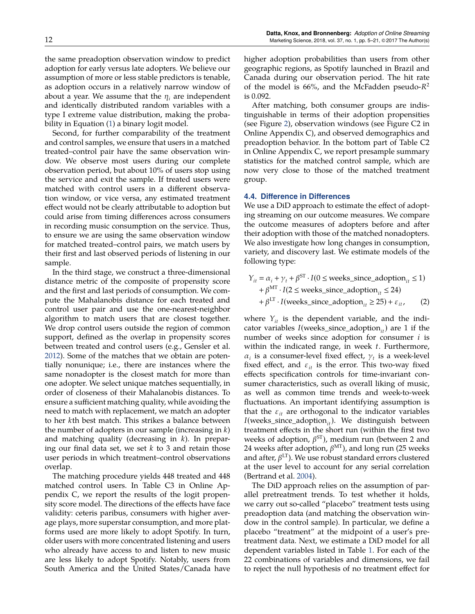the same preadoption observation window to predict adoption for early versus late adopters. We believe our assumption of more or less stable predictors is tenable, as adoption occurs in a relatively narrow window of about a year. We assume that the  $\eta_i$  are independent and identically distributed random variables with a type I extreme value distribution, making the probability in Equation [\(1\)](#page-6-1) a binary logit model.

Second, for further comparability of the treatment and control samples, we ensure that users in a matched treated–control pair have the same observation window. We observe most users during our complete observation period, but about 10% of users stop using the service and exit the sample. If treated users were matched with control users in a different observation window, or vice versa, any estimated treatment effect would not be clearly attributable to adoption but could arise from timing differences across consumers in recording music consumption on the service. Thus, to ensure we are using the same observation window for matched treated–control pairs, we match users by their first and last observed periods of listening in our sample.

In the third stage, we construct a three-dimensional distance metric of the composite of propensity score and the first and last periods of consumption. We compute the Mahalanobis distance for each treated and control user pair and use the one-nearest-neighbor algorithm to match users that are closest together. We drop control users outside the region of common support, defined as the overlap in propensity scores between treated and control users (e.g., Gensler et al. [2012\)](#page-16-11). Some of the matches that we obtain are potentially nonunique; i.e., there are instances where the same nonadopter is the closest match for more than one adopter. We select unique matches sequentially, in order of closeness of their Mahalanobis distances. To ensure a sufficient matching quality, while avoiding the need to match with replacement, we match an adopter to her *k*th best match. This strikes a balance between the number of adopters in our sample (increasing in *k*) and matching quality (decreasing in *k*). In preparing our final data set, we set *k* to 3 and retain those user periods in which treatment–control observations overlap.

The matching procedure yields 448 treated and 448 matched control users. In Table C3 in Online Appendix C, we report the results of the logit propensity score model. The directions of the effects have face validity: ceteris paribus, consumers with higher average plays, more superstar consumption, and more platforms used are more likely to adopt Spotify. In turn, older users with more concentrated listening and users who already have access to and listen to new music are less likely to adopt Spotify. Notably, users from South America and the United States/Canada have higher adoption probabilities than users from other geographic regions, as Spotify launched in Brazil and Canada during our observation period. The hit rate of the model is 66%, and the McFadden pseudo-*R* 2 is 0.092.

After matching, both consumer groups are indistinguishable in terms of their adoption propensities (see Figure [2\)](#page-8-0), observation windows (see Figure C2 in Online Appendix C), and observed demographics and preadoption behavior. In the bottom part of Table C2 in Online Appendix C, we report presample summary statistics for the matched control sample, which are now very close to those of the matched treatment group.

## **4.4. Difference in Differences**

We use a DiD approach to estimate the effect of adopting streaming on our outcome measures. We compare the outcome measures of adopters before and after their adoption with those of the matched nonadopters. We also investigate how long changes in consumption, variety, and discovery last. We estimate models of the following type:

<span id="page-7-0"></span>
$$
Y_{it} = \alpha_i + \gamma_t + \beta^{\text{ST}} \cdot I(0 \le \text{weeks\_since\_adoption}_{it} \le 1) + \beta^{\text{MT}} \cdot I(2 \le \text{weeks\_since\_adoption}_{it} \le 24) + \beta^{\text{LT}} \cdot I(\text{weeks\_since\_adoption}_{it} \ge 25) + \varepsilon_{it},
$$
 (2)

where  $Y_{it}$  is the dependent variable, and the indicator variables  $I$ (weeks\_since\_adoption<sub>*it*</sub>) are 1 if the number of weeks since adoption for consumer *i* is within the indicated range, in week *t*. Furthermore,  $\alpha_i$  is a consumer-level fixed effect,  $\gamma_t$  is a week-level fixed effect, and  $\varepsilon_{it}$  is the error. This two-way fixed effects specification controls for time-invariant consumer characteristics, such as overall liking of music, as well as common time trends and week-to-week fluctuations. An important identifying assumption is that the  $\varepsilon_{it}$  are orthogonal to the indicator variables *I*(weeks\_since\_adoption<sub>*it*</sub>). We distinguish between treatment effects in the short run (within the first two weeks of adoption,  $\beta^{\rm ST}$ ), medium run (between 2 and 24 weeks after adoption,  $\beta^\text{MT}$ ), and long run (25 weeks and after,  $\beta^{\text{LT}}$ ). We use robust standard errors clustered at the user level to account for any serial correlation (Bertrand et al. [2004\)](#page-16-12).

The DiD approach relies on the assumption of parallel pretreatment trends. To test whether it holds, we carry out so-called "placebo" treatment tests using preadoption data (and matching the observation window in the control sample). In particular, we define a placebo "treatment" at the midpoint of a user's pretreatment data. Next, we estimate a DiD model for all dependent variables listed in Table [1.](#page-5-0) For each of the 22 combinations of variables and dimensions, we fail to reject the null hypothesis of no treatment effect for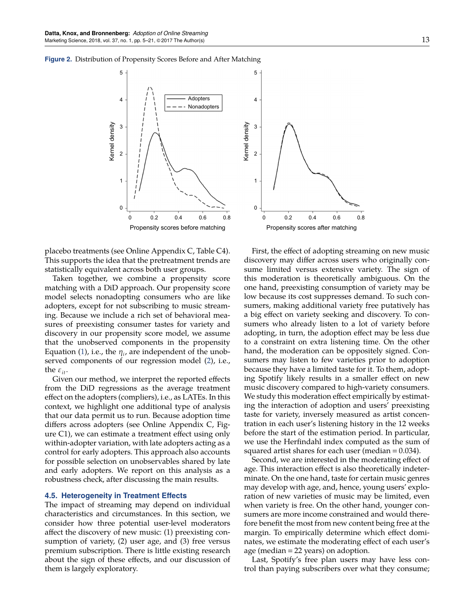**Figure 2.** Distribution of Propensity Scores Before and After Matching

<span id="page-8-0"></span>

placebo treatments (see Online Appendix C, Table C4). This supports the idea that the pretreatment trends are statistically equivalent across both user groups.

Taken together, we combine a propensity score matching with a DiD approach. Our propensity score model selects nonadopting consumers who are like adopters, except for not subscribing to music streaming. Because we include a rich set of behavioral measures of preexisting consumer tastes for variety and discovery in our propensity score model, we assume that the unobserved components in the propensity Equation [\(1\)](#page-6-1), i.e., the  $\eta_i$ , are independent of the unobserved components of our regression model [\(2\)](#page-7-0), i.e., the  $\varepsilon_{it}$ .

Given our method, we interpret the reported effects from the DiD regressions as the average treatment effect on the adopters (compliers), i.e., as LATEs. In this context, we highlight one additional type of analysis that our data permit us to run. Because adoption time differs across adopters (see Online Appendix C, Figure C1), we can estimate a treatment effect using only within-adopter variation, with late adopters acting as a control for early adopters. This approach also accounts for possible selection on unobservables shared by late and early adopters. We report on this analysis as a robustness check, after discussing the main results.

#### <span id="page-8-1"></span>**4.5. Heterogeneity in Treatment Effects**

The impact of streaming may depend on individual characteristics and circumstances. In this section, we consider how three potential user-level moderators affect the discovery of new music: (1) preexisting consumption of variety, (2) user age, and (3) free versus premium subscription. There is little existing research about the sign of these effects, and our discussion of them is largely exploratory.



First, the effect of adopting streaming on new music discovery may differ across users who originally consume limited versus extensive variety. The sign of this moderation is theoretically ambiguous. On the one hand, preexisting consumption of variety may be low because its cost suppresses demand. To such consumers, making additional variety free putatively has a big effect on variety seeking and discovery. To consumers who already listen to a lot of variety before adopting, in turn, the adoption effect may be less due to a constraint on extra listening time. On the other hand, the moderation can be oppositely signed. Consumers may listen to few varieties prior to adoption because they have a limited taste for it. To them, adopting Spotify likely results in a smaller effect on new music discovery compared to high-variety consumers. We study this moderation effect empirically by estimating the interaction of adoption and users' preexisting taste for variety, inversely measured as artist concentration in each user's listening history in the 12 weeks before the start of the estimation period. In particular, we use the Herfindahl index computed as the sum of squared artist shares for each user (median  $= 0.034$ ).

Second, we are interested in the moderating effect of age. This interaction effect is also theoretically indeterminate. On the one hand, taste for certain music genres may develop with age, and, hence, young users' exploration of new varieties of music may be limited, even when variety is free. On the other hand, younger consumers are more income constrained and would therefore benefit the most from new content being free at the margin. To empirically determine which effect dominates, we estimate the moderating effect of each user's age (median  $= 22$  years) on adoption.

Last, Spotify's free plan users may have less control than paying subscribers over what they consume;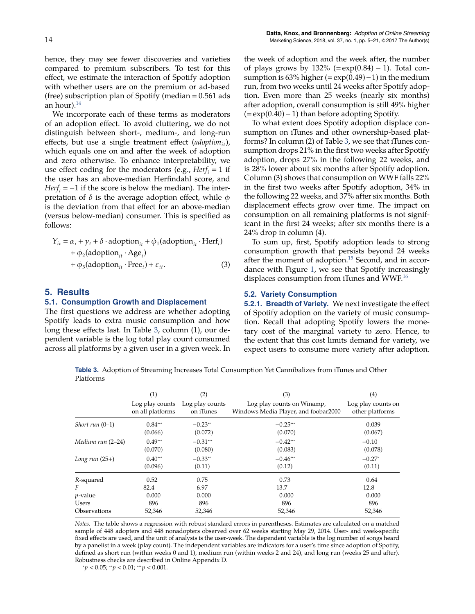hence, they may see fewer discoveries and varieties compared to premium subscribers. To test for this effect, we estimate the interaction of Spotify adoption with whether users are on the premium or ad-based (free) subscription plan of Spotify (median  $= 0.561$  ads an hour). $^{14}$  $^{14}$  $^{14}$ 

<span id="page-9-1"></span>We incorporate each of these terms as moderators of an adoption effect. To avoid cluttering, we do not distinguish between short-, medium-, and long-run effects, but use a single treatment effect (*adoption*<sub>*it*</sub>), which equals one on and after the week of adoption and zero otherwise. To enhance interpretability, we use effect coding for the moderators (e.g.,  $Herf_i = 1$  if the user has an above-median Herfindahl score, and *Herf*<sup> $i$ </sup> = -1 if the score is below the median). The interpretation of  $\delta$  is the average adoption effect, while  $\phi$ is the deviation from that effect for an above-median (versus below-median) consumer. This is specified as follows:

$$
Y_{it} = \alpha_i + \gamma_t + \delta \cdot \text{adoption}_{it} + \phi_1(\text{adoption}_{it} \cdot \text{Herf}_i) + \phi_2(\text{adoption}_{it} \cdot \text{Age}_i) + \phi_3(\text{adoption}_{it} \cdot \text{Free}_i) + \varepsilon_{it}.
$$
 (3)

## **5. Results**

#### **5.1. Consumption Growth and Displacement**

The first questions we address are whether adopting Spotify leads to extra music consumption and how long these effects last. In Table [3,](#page-9-0) column (1), our dependent variable is the log total play count consumed across all platforms by a given user in a given week. In the week of adoption and the week after, the number of plays grows by  $132\%$  (=  $exp(0.84) - 1$ ). Total consumption is 63% higher (= $\exp(0.49) - 1$ ) in the medium run, from two weeks until 24 weeks after Spotify adoption. Even more than 25 weeks (nearly six months) after adoption, overall consumption is still 49% higher  $(=\exp(0.40) - 1)$  than before adopting Spotify.

To what extent does Spotify adoption displace consumption on iTunes and other ownership-based platforms? In column (2) of Table [3,](#page-9-0) we see that iTunes consumption drops 21% in the first two weeks after Spotify adoption, drops 27% in the following 22 weeks, and is 28% lower about six months after Spotify adoption. Column (3) shows that consumption on WWF falls 22% in the first two weeks after Spotify adoption, 34% in the following 22 weeks, and 37% after six months. Both displacement effects grow over time. The impact on consumption on all remaining platforms is not significant in the first 24 weeks; after six months there is a 24% drop in column (4).

<span id="page-9-2"></span>To sum up, first, Spotify adoption leads to strong consumption growth that persists beyond 24 weeks after the moment of adoption.<sup>[15](#page-15-11)</sup> Second, and in accordance with Figure [1,](#page-3-0) we see that Spotify increasingly displaces consumption from iTunes and WWF.[16](#page-15-12)

### <span id="page-9-3"></span>**5.2. Variety Consumption**

**5.2.1. Breadth of Variety.** We next investigate the effect of Spotify adoption on the variety of music consumption. Recall that adopting Spotify lowers the monetary cost of the marginal variety to zero. Hence, to the extent that this cost limits demand for variety, we expect users to consume more variety after adoption.

<span id="page-9-0"></span>**Table 3.** Adoption of Streaming Increases Total Consumption Yet Cannibalizes from iTunes and Other Platforms

|                            | (1)              | (2)             | (3)                                  | $\left( 4\right)$  |
|----------------------------|------------------|-----------------|--------------------------------------|--------------------|
|                            | Log play counts  | Log play counts | Log play counts on Winamp,           | Log play counts on |
|                            | on all platforms | on iTunes       | Windows Media Player, and foobar2000 | other platforms    |
| Short run $(0-1)$          | $0.84***$        | $-0.23**$       | $-0.25***$                           | 0.039              |
|                            | (0.066)          | (0.072)         | (0.070)                              | (0.067)            |
| Medium run (2–24)          | $0.49***$        | $-0.31***$      | $-0.42***$                           | $-0.10$            |
|                            | (0.070)          | (0.080)         | (0.083)                              | (0.078)            |
| Long run $(25+)$           | $0.40***$        | $-0.33**$       | $-0.46***$                           | $-0.27*$           |
|                            | (0.096)          | (0.11)          | (0.12)                               | (0.11)             |
| R-squared                  | 0.52             | 0.75            | 0.73                                 | 0.64               |
| F                          | 82.4             | 6.97            | 13.7                                 | 12.8               |
| $p$ -value                 | 0.000            | 0.000           | 0.000                                | 0.000              |
| <b>Users</b>               | 896              | 896             | 896                                  | 896                |
| <i><b>Observations</b></i> | 52,346           | 52,346          | 52,346                               | 52,346             |

*Notes.* The table shows a regression with robust standard errors in parentheses. Estimates are calculated on a matched sample of 448 adopters and 448 nonadopters observed over 62 weeks starting May 29, 2014. User- and week-specific fixed effects are used, and the unit of analysis is the user-week. The dependent variable is the log number of songs heard by a panelist in a week (play count). The independent variables are indicators for a user's time since adoption of Spotify, defined as short run (within weeks 0 and 1), medium run (within weeks 2 and 24), and long run (weeks 25 and after). Robustness checks are described in Online Appendix D.

<sup>∗</sup>*p* < 0.05; ∗∗*p* < 0.01; ∗∗∗*p* < 0.001.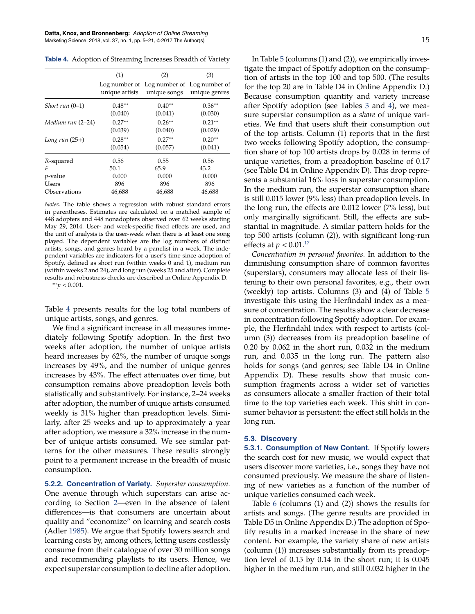<span id="page-10-0"></span>

| <b>Table 4.</b> Adoption of Streaming Increases Breadth of Variety |  |  |  |  |
|--------------------------------------------------------------------|--|--|--|--|
|--------------------------------------------------------------------|--|--|--|--|

|                   | (1)                  | (2)                                                       | (3)                  |
|-------------------|----------------------|-----------------------------------------------------------|----------------------|
|                   | unique artists       | Log number of Log number of Log number of<br>unique songs | unique genres        |
| Short run $(0-1)$ | $0.48***$<br>(0.040) | $0.40***$<br>(0.041)                                      | $0.36***$<br>(0.030) |
| Medium run (2–24) | $0.27***$<br>(0.039) | $0.26***$<br>(0.040)                                      | $0.21***$<br>(0.029) |
| Long run $(25+)$  | $0.28***$<br>(0.054) | $0.27***$<br>(0.057)                                      | $0.20***$<br>(0.041) |
| R-squared         | 0.56                 | 0.55                                                      | 0.56                 |
| F                 | 50.1                 | 65.9                                                      | 43.2                 |
| $p$ -value        | 0.000                | 0.000                                                     | 0.000                |
| <b>Users</b>      | 896                  | 896                                                       | 896                  |
| Observations      | 46,688               | 46,688                                                    | 46,688               |

*Notes.* The table shows a regression with robust standard errors in parentheses. Estimates are calculated on a matched sample of 448 adopters and 448 nonadopters observed over 62 weeks starting May 29, 2014. User- and week-specific fixed effects are used, and the unit of analysis is the user-week when there is at least one song played. The dependent variables are the log numbers of distinct artists, songs, and genres heard by a panelist in a week. The independent variables are indicators for a user's time since adoption of Spotify, defined as short run (within weeks 0 and 1), medium run (within weeks 2 and 24), and long run (weeks 25 and after). Complete results and robustness checks are described in Online Appendix D.

∗∗∗*p* < 0.001.

Table [4](#page-10-0) presents results for the log total numbers of unique artists, songs, and genres.

We find a significant increase in all measures immediately following Spotify adoption. In the first two weeks after adoption, the number of unique artists heard increases by 62%, the number of unique songs increases by 49%, and the number of unique genres increases by 43%. The effect attenuates over time, but consumption remains above preadoption levels both statistically and substantively. For instance, 2–24 weeks after adoption, the number of unique artists consumed weekly is 31% higher than preadoption levels. Similarly, after 25 weeks and up to approximately a year after adoption, we measure a 32% increase in the number of unique artists consumed. We see similar patterns for the other measures. These results strongly point to a permanent increase in the breadth of music consumption.

**5.2.2. Concentration of Variety.** *Superstar consumption.* One avenue through which superstars can arise according to Section [2—](#page-1-0)even in the absence of talent differences—is that consumers are uncertain about quality and "economize" on learning and search costs (Adler [1985\)](#page-16-13). We argue that Spotify lowers search and learning costs by, among others, letting users costlessly consume from their catalogue of over 30 million songs and recommending playlists to its users. Hence, we expect superstar consumption to decline after adoption.

In Table [5](#page-11-0) (columns (1) and (2)), we empirically investigate the impact of Spotify adoption on the consumption of artists in the top 100 and top 500. (The results for the top 20 are in Table D4 in Online Appendix D.) Because consumption quantity and variety increase after Spotify adoption (see Tables [3](#page-9-0) and [4\)](#page-10-0), we measure superstar consumption as a *share* of unique varieties. We find that users shift their consumption out of the top artists. Column (1) reports that in the first two weeks following Spotify adoption, the consumption share of top 100 artists drops by 0.028 in terms of unique varieties, from a preadoption baseline of 0.17 (see Table D4 in Online Appendix D). This drop represents a substantial 16% loss in superstar consumption. In the medium run, the superstar consumption share is still 0.015 lower (9% less) than preadoption levels. In the long run, the effects are 0.012 lower (7% less), but only marginally significant. Still, the effects are substantial in magnitude. A similar pattern holds for the top 500 artists (column (2)), with significant long-run effects at  $p < 0.01$ .<sup>[17](#page-15-13)</sup>

<span id="page-10-1"></span>*Concentration in personal favorites.* In addition to the diminishing consumption share of common favorites (superstars), consumers may allocate less of their listening to their own personal favorites, e.g., their own (weekly) top artists. Columns (3) and (4) of Table [5](#page-11-0) investigate this using the Herfindahl index as a measure of concentration. The results show a clear decrease in concentration following Spotify adoption. For example, the Herfindahl index with respect to artists (column (3)) decreases from its preadoption baseline of 0.20 by 0.062 in the short run, 0.032 in the medium run, and 0.035 in the long run. The pattern also holds for songs (and genres; see Table D4 in Online Appendix D). These results show that music consumption fragments across a wider set of varieties as consumers allocate a smaller fraction of their total time to the top varieties each week. This shift in consumer behavior is persistent: the effect still holds in the long run.

#### **5.3. Discovery**

**5.3.1. Consumption of New Content.** If Spotify lowers the search cost for new music, we would expect that users discover more varieties, i.e., songs they have not consumed previously. We measure the share of listening of new varieties as a function of the number of unique varieties consumed each week.

Table [6](#page-11-1) (columns (1) and (2)) shows the results for artists and songs. (The genre results are provided in Table D5 in Online Appendix D.) The adoption of Spotify results in a marked increase in the share of new content. For example, the variety share of new artists (column (1)) increases substantially from its preadoption level of 0.15 by 0.14 in the short run; it is 0.045 higher in the medium run, and still 0.032 higher in the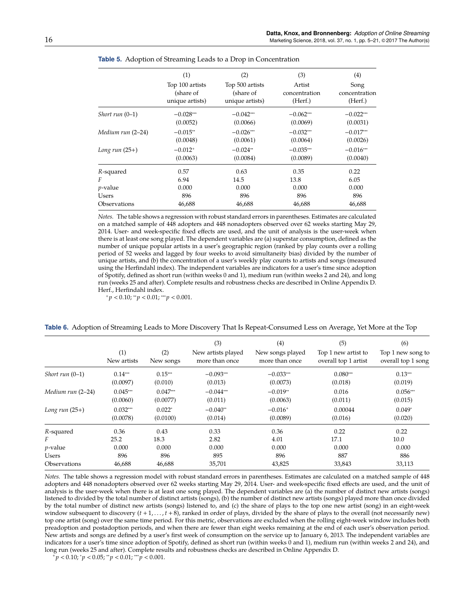|                   | (1)             | (2)             | (3)           | (4)           |
|-------------------|-----------------|-----------------|---------------|---------------|
|                   | Top 100 artists | Top 500 artists | Artist        | Song          |
|                   | (share of       | (share of       | concentration | concentration |
|                   | unique artists) | unique artists) | (Herf.)       | (Herf.)       |
| Short run $(0-1)$ | $-0.028***$     | $-0.042***$     | $-0.062***$   | $-0.022***$   |
|                   | (0.0052)        | (0.0066)        | (0.0069)      | (0.0031)      |
| Medium run (2–24) | $-0.015**$      | $-0.026***$     | $-0.032***$   | $-0.017***$   |
|                   | (0.0048)        | (0.0061)        | (0.0064)      | (0.0026)      |
| Long run $(25+)$  | $-0.012^{+}$    | $-0.024**$      | $-0.035***$   | $-0.016***$   |
|                   | (0.0063)        | (0.0084)        | (0.0089)      | (0.0040)      |
| R-squared         | 0.57            | 0.63            | 0.35          | 0.22          |
| F                 | 6.94            | 14.5            | 13.8          | 6.05          |
| $p$ -value        | 0.000           | 0.000           | 0.000         | 0.000         |
| Users             | 896             | 896             | 896           | 896           |
| Observations      | 46,688          | 46,688          | 46,688        | 46,688        |

<span id="page-11-0"></span>**Table 5.** Adoption of Streaming Leads to a Drop in Concentration

*Notes.* The table shows a regression with robust standard errors in parentheses. Estimates are calculated on a matched sample of 448 adopters and 448 nonadopters observed over 62 weeks starting May 29, 2014. User- and week-specific fixed effects are used, and the unit of analysis is the user-week when there is at least one song played. The dependent variables are (a) superstar consumption, defined as the number of unique popular artists in a user's geographic region (ranked by play counts over a rolling period of 52 weeks and lagged by four weeks to avoid simultaneity bias) divided by the number of unique artists, and (b) the concentration of a user's weekly play counts to artists and songs (measured using the Herfindahl index). The independent variables are indicators for a user's time since adoption of Spotify, defined as short run (within weeks 0 and 1), medium run (within weeks 2 and 24), and long run (weeks 25 and after). Complete results and robustness checks are described in Online Appendix D. Herf., Herfindahl index.

<sup>+</sup>*p* < 0.10; ∗∗*p* < 0.01; ∗∗∗*p* < 0.001.

<span id="page-11-1"></span>

| Table 6. Adoption of Streaming Leads to More Discovery That Is Repeat-Consumed Less on Average, Yet More at the Top |  |  |  |  |
|---------------------------------------------------------------------------------------------------------------------|--|--|--|--|
|---------------------------------------------------------------------------------------------------------------------|--|--|--|--|

|                   | (1)<br>New artists | (2)<br>New songs | (3)<br>New artists played<br>more than once | (4)<br>New songs played<br>more than once | (5)<br>Top 1 new artist to<br>overall top 1 artist | (6)<br>Top 1 new song to<br>overall top 1 song |
|-------------------|--------------------|------------------|---------------------------------------------|-------------------------------------------|----------------------------------------------------|------------------------------------------------|
| Short run $(0-1)$ | $0.14***$          | $0.15***$        | $-0.093***$                                 | $-0.033***$                               | $0.080***$                                         | $0.13***$                                      |
|                   | (0.0097)           | (0.010)          | (0.013)                                     | (0.0073)                                  | (0.018)                                            | (0.019)                                        |
| Medium run (2-24) | $0.045***$         | $0.047***$       | $-0.044***$                                 | $-0.019**$                                | 0.016                                              | $0.056***$                                     |
|                   | (0.0060)           | (0.0077)         | (0.011)                                     | (0.0063)                                  | (0.011)                                            | (0.015)                                        |
| Long run (25+)    | $0.032***$         | $0.022*$         | $-0.040**$                                  | $-0.016^{+}$                              | 0.00044                                            | $0.049*$                                       |
|                   | (0.0078)           | (0.0100)         | (0.014)                                     | (0.0089)                                  | (0.016)                                            | (0.020)                                        |
| R-squared         | 0.36               | 0.43             | 0.33                                        | 0.36                                      | 0.22                                               | 0.22                                           |
| F                 | 25.2               | 18.3             | 2.82                                        | 4.01                                      | 17.1                                               | 10.0                                           |
| <i>p</i> -value   | 0.000              | 0.000            | 0.000                                       | 0.000                                     | 0.000                                              | 0.000                                          |
| Users             | 896                | 896              | 895                                         | 896                                       | 887                                                | 886                                            |
| Observations      | 46,688             | 46,688           | 35,701                                      | 43,825                                    | 33,843                                             | 33,113                                         |

*Notes.* The table shows a regression model with robust standard errors in parentheses. Estimates are calculated on a matched sample of 448 adopters and 448 nonadopters observed over 62 weeks starting May 29, 2014. User- and week-specific fixed effects are used, and the unit of analysis is the user-week when there is at least one song played. The dependent variables are (a) the number of distinct new artists (songs) listened to divided by the total number of distinct artists (songs), (b) the number of distinct new artists (songs) played more than once divided by the total number of distinct new artists (songs) listened to, and (c) the share of plays to the top one new artist (song) in an eight-week window subsequent to discovery  $(t + 1, \ldots, t + 8)$ , ranked in order of plays, divided by the share of plays to the overall (not necessarily new) top one artist (song) over the same time period. For this metric, observations are excluded when the rolling eight-week window includes both preadoption and postadoption periods, and when there are fewer than eight weeks remaining at the end of each user's observation period. New artists and songs are defined by a user's first week of consumption on the service up to January 6, 2013. The independent variables are indicators for a user's time since adoption of Spotify, defined as short run (within weeks 0 and 1), medium run (within weeks 2 and 24), and long run (weeks 25 and after). Complete results and robustness checks are described in Online Appendix D.

<sup>+</sup>*p* < 0.10; <sup>∗</sup>*p* < 0.05; ∗∗*p* < 0.01; ∗∗∗*p* < 0.001.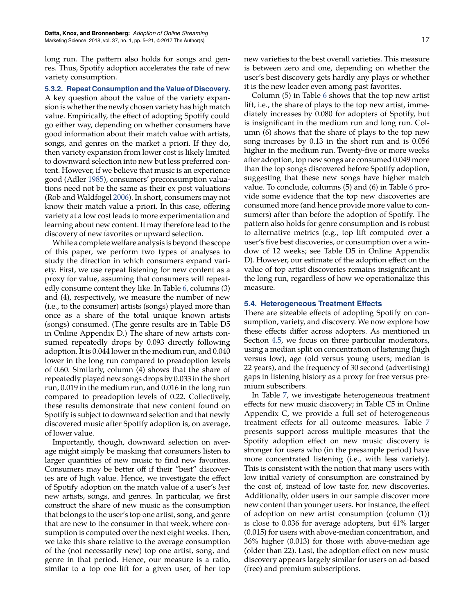long run. The pattern also holds for songs and genres. Thus, Spotify adoption accelerates the rate of new variety consumption.

**5.3.2. Repeat Consumption and the Value of Discovery.** A key question about the value of the variety expansion is whether the newly chosen variety has high match value. Empirically, the effect of adopting Spotify could go either way, depending on whether consumers have good information about their match value with artists, songs, and genres on the market a priori. If they do, then variety expansion from lower cost is likely limited to downward selection into new but less preferred content. However, if we believe that music is an experience good (Adler [1985\)](#page-16-13), consumers' preconsumption valuations need not be the same as their ex post valuations (Rob and Waldfogel [2006\)](#page-16-14). In short, consumers may not know their match value a priori. In this case, offering variety at a low cost leads to more experimentation and learning about new content. It may therefore lead to the discovery of new favorites or upward selection.

While a complete welfare analysis is beyond the scope of this paper, we perform two types of analyses to study the direction in which consumers expand variety. First, we use repeat listening for new content as a proxy for value, assuming that consumers will repeatedly consume content they like. In Table [6,](#page-11-1) columns (3) and (4), respectively, we measure the number of new (i.e., to the consumer) artists (songs) played more than once as a share of the total unique known artists (songs) consumed. (The genre results are in Table D5 in Online Appendix D.) The share of new artists consumed repeatedly drops by 0.093 directly following adoption. It is 0.044 lower in the medium run, and 0.040 lower in the long run compared to preadoption levels of 0.60. Similarly, column (4) shows that the share of repeatedly played new songs drops by 0.033 in the short run, 0.019 in the medium run, and 0.016 in the long run compared to preadoption levels of 0.22. Collectively, these results demonstrate that new content found on Spotify is subject to downward selection and that newly discovered music after Spotify adoption is, on average, of lower value.

Importantly, though, downward selection on average might simply be masking that consumers listen to larger quantities of new music to find new favorites. Consumers may be better off if their "best" discoveries are of high value. Hence, we investigate the effect of Spotify adoption on the match value of a user's *best* new artists, songs, and genres. In particular, we first construct the share of new music as the consumption that belongs to the user's top one artist, song, and genre that are new to the consumer in that week, where consumption is computed over the next eight weeks. Then, we take this share relative to the average consumption of the (not necessarily new) top one artist, song, and genre in that period. Hence, our measure is a ratio, similar to a top one lift for a given user, of her top

new varieties to the best overall varieties. This measure is between zero and one, depending on whether the user's best discovery gets hardly any plays or whether it is the new leader even among past favorites.

Column (5) in Table [6](#page-11-1) shows that the top new artist lift, i.e., the share of plays to the top new artist, immediately increases by 0.080 for adopters of Spotify, but is insignificant in the medium run and long run. Column (6) shows that the share of plays to the top new song increases by 0.13 in the short run and is 0.056 higher in the medium run. Twenty-five or more weeks after adoption, top new songs are consumed 0.049 more than the top songs discovered before Spotify adoption, suggesting that these new songs have higher match value. To conclude, columns (5) and (6) in Table [6](#page-11-1) provide some evidence that the top new discoveries are consumed more (and hence provide more value to consumers) after than before the adoption of Spotify. The pattern also holds for genre consumption and is robust to alternative metrics (e.g., top lift computed over a user's five best discoveries, or consumption over a window of 12 weeks; see Table D5 in Online Appendix D). However, our estimate of the adoption effect on the value of top artist discoveries remains insignificant in the long run, regardless of how we operationalize this measure.

#### **5.4. Heterogeneous Treatment Effects**

There are sizeable effects of adopting Spotify on consumption, variety, and discovery. We now explore how these effects differ across adopters. As mentioned in Section [4.5,](#page-8-1) we focus on three particular moderators, using a median split on concentration of listening (high versus low), age (old versus young users; median is 22 years), and the frequency of 30 second (advertising) gaps in listening history as a proxy for free versus premium subscribers.

In Table [7,](#page-13-1) we investigate heterogeneous treatment effects for new music discovery; in Table C5 in Online Appendix C, we provide a full set of heterogeneous treatment effects for all outcome measures. Table [7](#page-13-1) presents support across multiple measures that the Spotify adoption effect on new music discovery is stronger for users who (in the presample period) have more concentrated listening (i.e., with less variety). This is consistent with the notion that many users with low initial variety of consumption are constrained by the cost of, instead of low taste for, new discoveries. Additionally, older users in our sample discover more new content than younger users. For instance, the effect of adoption on new artist consumption (column (1)) is close to 0.036 for average adopters, but 41% larger (0.015) for users with above-median concentration, and 36% higher (0.013) for those with above-median age (older than 22). Last, the adoption effect on new music discovery appears largely similar for users on ad-based (free) and premium subscriptions.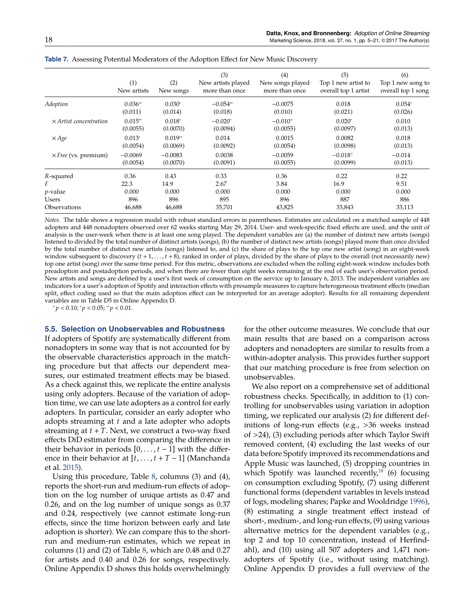|                                    | (1)<br>New artists | (2)<br>New songs | (3)<br>New artists played<br>more than once | (4)<br>New songs played<br>more than once | (5)<br>Top 1 new artist to<br>overall top 1 artist | (6)<br>Top 1 new song to<br>overall top 1 song |
|------------------------------------|--------------------|------------------|---------------------------------------------|-------------------------------------------|----------------------------------------------------|------------------------------------------------|
| Adoption                           | $0.036**$          | $0.030*$         | $-0.054**$                                  | $-0.0075$                                 | 0.018                                              | $0.054*$                                       |
|                                    | (0.011)            | (0.014)          | (0.018)                                     | (0.010)                                   | (0.021)                                            | (0.026)                                        |
| $\times$ Artist concentration      | $0.015**$          | $0.018*$         | $-0.020^*$                                  | $-0.010^{+}$                              | $0.020*$                                           | 0.010                                          |
|                                    | (0.0055)           | (0.0070)         | (0.0094)                                    | (0.0055)                                  | (0.0097)                                           | (0.013)                                        |
| $\times Age$                       | $0.013*$           | $0.019**$        | 0.014                                       | 0.0015                                    | 0.0082                                             | 0.018                                          |
|                                    | (0.0054)           | (0.0069)         | (0.0092)                                    | (0.0054)                                  | (0.0098)                                           | (0.013)                                        |
| $\times$ <i>Free</i> (vs. premium) | $-0.0069$          | $-0.0083$        | 0.0038                                      | $-0.0059$                                 | $-0.018^{+}$                                       | $-0.014$                                       |
|                                    | (0.0054)           | (0.0070)         | (0.0091)                                    | (0.0055)                                  | (0.0099)                                           | (0.013)                                        |
| R-squared                          | 0.36               | 0.43             | 0.33                                        | 0.36                                      | 0.22                                               | 0.22                                           |
| F                                  | 22.3               | 14.9             | 2.67                                        | 3.84                                      | 16.9                                               | 9.51                                           |
| $p$ -value                         | 0.000              | 0.000            | 0.000                                       | 0.000                                     | 0.000                                              | 0.000                                          |
| Users                              | 896                | 896              | 895                                         | 896                                       | 887                                                | 886                                            |
| Observations                       | 46,688             | 46,688           | 35,701                                      | 43,825                                    | 33,843                                             | 33,113                                         |

<span id="page-13-1"></span>**Table 7.** Assessing Potential Moderators of the Adoption Effect for New Music Discovery

*Notes.* The table shows a regression model with robust standard errors in parentheses. Estimates are calculated on a matched sample of 448 adopters and 448 nonadopters observed over 62 weeks starting May 29, 2014. User- and week-specific fixed effects are used, and the unit of analysis is the user-week when there is at least one song played. The dependent variables are (a) the number of distinct new artists (songs) listened to divided by the total number of distinct artists (songs), (b) the number of distinct new artists (songs) played more than once divided by the total number of distinct new artists (songs) listened to, and (c) the share of plays to the top one new artist (song) in an eight-week window subsequent to discovery  $(t + 1, ..., t + 8)$ , ranked in order of plays, divided by the share of plays to the overall (not necessarily new) top one artist (song) over the same time period. For this metric, observations are excluded when the rolling eight-week window includes both preadoption and postadoption periods, and when there are fewer than eight weeks remaining at the end of each user's observation period. New artists and songs are defined by a user's first week of consumption on the service up to January 6, 2013. The independent variables are indicators for a user's adoption of Spotify and interaction effects with presample measures to capture heterogeneous treatment effects (median split, effect coding used so that the main adoption effect can be interpreted for an average adopter). Results for all remaining dependent variables are in Table D5 in Online Appendix D.

<sup>+</sup>*p* < 0.10; <sup>∗</sup>*p* < 0.05; ∗∗*p* < 0.01.

#### <span id="page-13-0"></span>**5.5. Selection on Unobservables and Robustness**

If adopters of Spotify are systematically different from nonadopters in some way that is not accounted for by the observable characteristics approach in the matching procedure but that affects our dependent measures, our estimated treatment effects may be biased. As a check against this, we replicate the entire analysis using only adopters. Because of the variation of adoption time, we can use late adopters as a control for early adopters. In particular, consider an early adopter who adopts streaming at *t* and a late adopter who adopts streaming at  $t + T$ . Next, we construct a two-way fixed effects DiD estimator from comparing the difference in their behavior in periods  $[0, \ldots, t-1]$  with the difference in their behavior at  $[t, \ldots, t + T - 1]$  (Manchanda et al. [2015\)](#page-16-15).

Using this procedure, Table [8,](#page-14-0) columns (3) and (4), reports the short-run and medium-run effects of adoption on the log number of unique artists as 0.47 and 0.26, and on the log number of unique songs as 0.37 and 0.24, respectively (we cannot estimate long-run effects, since the time horizon between early and late adoption is shorter). We can compare this to the shortrun and medium-run estimates, which we repeat in columns (1) and (2) of Table [8,](#page-14-0) which are 0.48 and 0.27 for artists and 0.40 and 0.26 for songs, respectively. Online Appendix D shows this holds overwhelmingly for the other outcome measures. We conclude that our main results that are based on a comparison across adopters and nonadopters are similar to results from a within-adopter analysis. This provides further support that our matching procedure is free from selection on unobservables.

<span id="page-13-2"></span>We also report on a comprehensive set of additional robustness checks. Specifically, in addition to (1) controlling for unobservables using variation in adoption timing, we replicated our analysis (2) for different definitions of long-run effects (e.g., >36 weeks instead of >24), (3) excluding periods after which Taylor Swift removed content, (4) excluding the last weeks of our data before Spotify improved its recommendations and Apple Music was launched, (5) dropping countries in which Spotify was launched recently, $18$  (6) focusing on consumption excluding Spotify, (7) using different functional forms (dependent variables in levels instead of logs, modeling shares; Papke and Wooldridge [1996\)](#page-16-16), (8) estimating a single treatment effect instead of short-, medium-, and long-run effects, (9) using various alternative metrics for the dependent variables (e.g., top 2 and top 10 concentration, instead of Herfindahl), and (10) using all 507 adopters and 1,471 nonadopters of Spotify (i.e., without using matching). Online Appendix D provides a full overview of the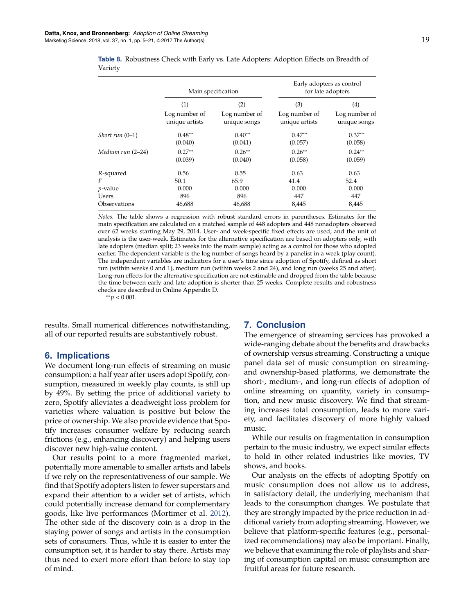|                   |                | Main specification |                | Early adopters as control<br>for late adopters |
|-------------------|----------------|--------------------|----------------|------------------------------------------------|
|                   | (1)            | (2)                | (3)            | (4)                                            |
|                   | Log number of  | Log number of      | Log number of  | Log number of                                  |
|                   | unique artists | unique songs       | unique artists | unique songs                                   |
| Short run $(0-1)$ | $0.48***$      | $0.40***$          | $0.47***$      | $0.37***$                                      |
|                   | (0.040)        | (0.041)            | (0.057)        | (0.058)                                        |
| Medium run (2–24) | $0.27***$      | $0.26***$          | $0.26***$      | $0.24***$                                      |
|                   | (0.039)        | (0.040)            | (0.058)        | (0.059)                                        |
| R-squared         | 0.56           | 0.55               | 0.63           | 0.63                                           |
| F                 | 50.1           | 65.9               | 41.4           | 52.4                                           |
| $p$ -value        | 0.000          | 0.000              | 0.000          | 0.000                                          |
| Users             | 896            | 896                | 447            | 447                                            |
| Observations      | 46,688         | 46,688             | 8,445          | 8,445                                          |

<span id="page-14-0"></span>**Table 8.** Robustness Check with Early vs. Late Adopters: Adoption Effects on Breadth of Variety

*Notes.* The table shows a regression with robust standard errors in parentheses. Estimates for the main specification are calculated on a matched sample of 448 adopters and 448 nonadopters observed over 62 weeks starting May 29, 2014. User- and week-specific fixed effects are used, and the unit of analysis is the user-week. Estimates for the alternative specification are based on adopters only, with late adopters (median split; 23 weeks into the main sample) acting as a control for those who adopted earlier. The dependent variable is the log number of songs heard by a panelist in a week (play count). The independent variables are indicators for a user's time since adoption of Spotify, defined as short run (within weeks 0 and 1), medium run (within weeks 2 and 24), and long run (weeks 25 and after). Long-run effects for the alternative specification are not estimable and dropped from the table because the time between early and late adoption is shorter than 25 weeks. Complete results and robustness checks are described in Online Appendix D.

∗∗∗*p* < 0.001.

results. Small numerical differences notwithstanding, all of our reported results are substantively robust.

## **6. Implications**

We document long-run effects of streaming on music consumption: a half year after users adopt Spotify, consumption, measured in weekly play counts, is still up by 49%. By setting the price of additional variety to zero, Spotify alleviates a deadweight loss problem for varieties where valuation is positive but below the price of ownership. We also provide evidence that Spotify increases consumer welfare by reducing search frictions (e.g., enhancing discovery) and helping users discover new high-value content.

Our results point to a more fragmented market, potentially more amenable to smaller artists and labels if we rely on the representativeness of our sample. We find that Spotify adopters listen to fewer superstars and expand their attention to a wider set of artists, which could potentially increase demand for complementary goods, like live performances (Mortimer et al. [2012\)](#page-16-17). The other side of the discovery coin is a drop in the staying power of songs and artists in the consumption sets of consumers. Thus, while it is easier to enter the consumption set, it is harder to stay there. Artists may thus need to exert more effort than before to stay top of mind.

# **7. Conclusion**

The emergence of streaming services has provoked a wide-ranging debate about the benefits and drawbacks of ownership versus streaming. Constructing a unique panel data set of music consumption on streamingand ownership-based platforms, we demonstrate the short-, medium-, and long-run effects of adoption of online streaming on quantity, variety in consumption, and new music discovery. We find that streaming increases total consumption, leads to more variety, and facilitates discovery of more highly valued music.

While our results on fragmentation in consumption pertain to the music industry, we expect similar effects to hold in other related industries like movies, TV shows, and books.

Our analysis on the effects of adopting Spotify on music consumption does not allow us to address, in satisfactory detail, the underlying mechanism that leads to the consumption changes. We postulate that they are strongly impacted by the price reduction in additional variety from adopting streaming. However, we believe that platform-specific features (e.g., personalized recommendations) may also be important. Finally, we believe that examining the role of playlists and sharing of consumption capital on music consumption are fruitful areas for future research.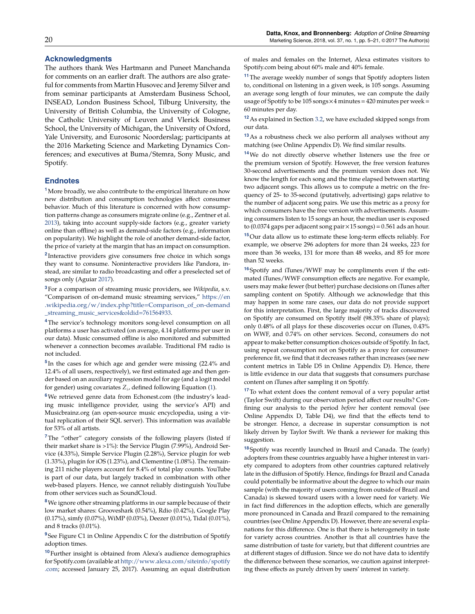The authors thank Wes Hartmann and Puneet Manchanda for comments on an earlier draft. The authors are also grateful for comments from Martin Husovec and Jeremy Silver and from seminar participants at Amsterdam Business School, INSEAD, London Business School, Tilburg University, the University of British Columbia, the University of Cologne, the Catholic University of Leuven and Vlerick Business School, the University of Michigan, the University of Oxford, Yale University, and Eurosonic Noorderslag; participants at the 2016 Marketing Science and Marketing Dynamics Conferences; and executives at Buma/Stemra, Sony Music, and Spotify.

#### **Endnotes**

**[1](#page-0-0)**More broadly, we also contribute to the empirical literature on how new distribution and consumption technologies affect consumer behavior. Much of this literature is concerned with how consumption patterns change as consumers migrate online (e.g., Zentner et al. [2013\)](#page-16-7), taking into account supply-side factors (e.g., greater variety online than offline) as well as demand-side factors (e.g., information on popularity). We highlight the role of another demand-side factor, the price of variety at the margin that has an impact on consumption.

<span id="page-15-3"></span>**[2](#page-2-0)** Interactive providers give consumers free choice in which songs they want to consume. Noninteractive providers like Pandora, instead, are similar to radio broadcasting and offer a preselected set of songs only (Aguiar [2017\)](#page-16-18).

**[3](#page-2-1)** For a comparison of streaming music providers, see *Wikipedia*, s.v. "Comparison of on-demand music streaming services," [https://en](https://en.wikipedia.org/w/index.php? title=Comparison_of_on-demand_streaming_music_services{&}oldid=761564933) [.wikipedia.org/w/index.php?title](https://en.wikipedia.org/w/index.php? title=Comparison_of_on-demand_streaming_music_services{&}oldid=761564933)=Comparison\_of\_on-demand [\\_streaming\\_music\\_services&oldid](https://en.wikipedia.org/w/index.php? title=Comparison_of_on-demand_streaming_music_services{&}oldid=761564933)761564933.

**[4](#page-2-2)**The service's technology monitors song-level consumption on all platforms a user has activated (on average, 4.14 platforms per user in our data). Music consumed offline is also monitored and submitted whenever a connection becomes available. Traditional FM radio is not included.

<span id="page-15-0"></span>**[5](#page-3-1)** In the cases for which age and gender were missing (22.4% and 12.4% of all users, respectively), we first estimated age and then gender based on an auxiliary regression model for age (and a logit model for gender) using covariates *Z<sup>i</sup>* , defined following Equation [\(1\)](#page-6-1).

<span id="page-15-1"></span>**[6](#page-3-2)**We retrieved genre data from Echonest.com (the industry's leading music intelligence provider, using the service's API) and Musicbrainz.org (an open-source music encyclopedia, using a virtual replication of their SQL server). This information was available for 53% of all artists.

<span id="page-15-2"></span>**[7](#page-3-3)**The "other" category consists of the following players (listed if their market share is >1%): the Service Plugin (7.99%), Android Service (4.33%), Simple Service Plugin (2.28%), Service plugin for web (1.33%), plugin for iOS (1.23%), and Clementine (1.08%). The remaining 211 niche players account for 8.4% of total play counts. YouTube is part of our data, but largely tracked in combination with other web-based players. Hence, we cannot reliably distinguish YouTube from other services such as SoundCloud.

<span id="page-15-4"></span>**[8](#page-3-4)**We ignore other streaming platforms in our sample because of their low market shares: Grooveshark (0.54%), Rdio (0.42%), Google Play (0.17%), simfy (0.07%), WiMP (0.03%), Deezer (0.01%), Tidal (0.01%), and 8 tracks (0.01%).

<span id="page-15-5"></span><sup>[9](#page-3-5)</sup> See Figure C1 in Online Appendix C for the distribution of Spotify adoption times.

<span id="page-15-6"></span>**[10](#page-3-6)** Further insight is obtained from Alexa's audience demographics for Spotify.com (available at [http://www.alexa.com/siteinfo/spotify](http://www.alexa.com/siteinfo/spotify.com) [.com;](http://www.alexa.com/siteinfo/spotify.com) accessed January 25, 2017). Assuming an equal distribution of males and females on the Internet, Alexa estimates visitors to Spotify.com being about 60% male and 40% female.

<span id="page-15-7"></span>**[11](#page-3-7)**The average weekly number of songs that Spotify adopters listen to, conditional on listening in a given week, is 105 songs. Assuming an average song length of four minutes, we can compute the daily usage of Spotify to be 105 songs $\times$ 4 minutes = 420 minutes per week = 60 minutes per day.

<span id="page-15-8"></span>**[12](#page-4-0)**As explained in Section [3.2,](#page-2-3) we have excluded skipped songs from our data.

<span id="page-15-9"></span>**[13](#page-6-2)**As a robustness check we also perform all analyses without any matching (see Online Appendix D). We find similar results.

<span id="page-15-10"></span>**[14](#page-9-1)**We do not directly observe whether listeners use the free or the premium version of Spotify. However, the free version features 30-second advertisements and the premium version does not. We know the length for each song and the time elapsed between starting two adjacent songs. This allows us to compute a metric on the frequency of 25- to 35-second (putatively, advertising) gaps relative to the number of adjacent song pairs. We use this metric as a proxy for which consumers have the free version with advertisements. Assuming consumers listen to 15 songs an hour, the median user is exposed to (0.0374 gaps per adjacent song pair  $\times$  15 songs) = 0.561 ads an hour.

<span id="page-15-11"></span>**[15](#page-9-2)**Our data allow us to estimate these long-term effects reliably. For example, we observe 296 adopters for more than 24 weeks, 223 for more than 36 weeks, 131 for more than 48 weeks, and 85 for more than 52 weeks.

<span id="page-15-12"></span>**[16](#page-9-3)** Spotify and iTunes/WWF may be compliments even if the estimated iTunes/WWF consumption effects are negative. For example, users may make fewer (but better) purchase decisions on iTunes after sampling content on Spotify. Although we acknowledge that this may happen in some rare cases, our data do not provide support for this interpretation. First, the large majority of tracks discovered on Spotify are consumed on Spotify itself (98.35% share of plays); only 0.48% of all plays for these discoveries occur on iTunes, 0.43% on WWF, and 0.74% on other services. Second, consumers do not appear to make better consumption choices outside of Spotify. In fact, using repeat consumption not on Spotify as a proxy for consumerpreference fit, we find that it decreases rather than increases (see new content metrics in Table D5 in Online Appendix D). Hence, there is little evidence in our data that suggests that consumers purchase content on iTunes after sampling it on Spotify.

<span id="page-15-13"></span>**[17](#page-10-1)**To what extent does the content removal of a very popular artist (Taylor Swift) during our observation period affect our results? Confining our analysis to the period *before* her content removal (see Online Appendix D, Table D4), we find that the effects tend to be stronger. Hence, a decrease in superstar consumption is not likely driven by Taylor Swift. We thank a reviewer for making this suggestion.

<span id="page-15-14"></span>**[18](#page-13-2)** Spotify was recently launched in Brazil and Canada. The (early) adopters from these countries arguably have a higher interest in variety compared to adopters from other countries captured relatively late in the diffusion of Spotify. Hence, findings for Brazil and Canada could potentially be informative about the degree to which our main sample (with the majority of users coming from outside of Brazil and Canada) is skewed toward users with a lower need for variety. We in fact find differences in the adoption effects, which are generally more pronounced in Canada and Brazil compared to the remaining countries (see Online Appendix D). However, there are several explanations for this difference. One is that there is heterogeneity in taste for variety across countries. Another is that all countries have the same distribution of taste for variety, but that different countries are at different stages of diffusion. Since we do not have data to identify the difference between these scenarios, we caution against interpreting these effects as purely driven by users' interest in variety.